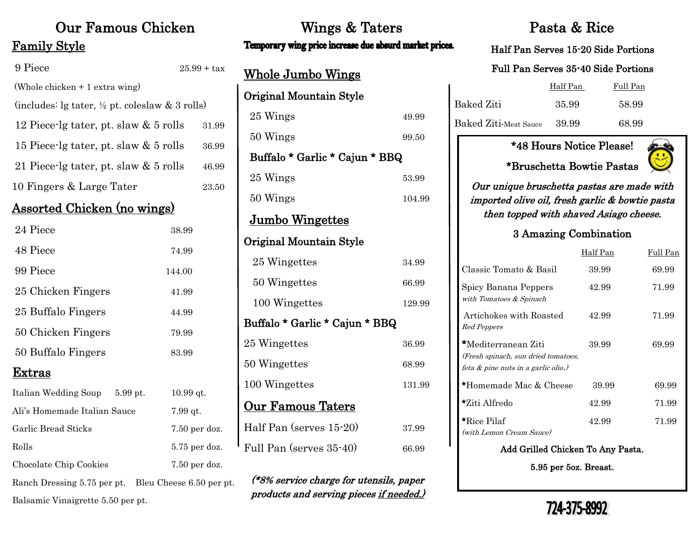# Family Style

| 9 Piece                                                       | $25.99 + tax$ |
|---------------------------------------------------------------|---------------|
| (Whole chicken $+1$ extra wing)                               |               |
| (includes: $\lg$ tater, $\frac{1}{2}$ pt. coleslaw & 3 rolls) |               |
| 12 Piece-lg tater, pt. slaw & 5 rolls                         | 31.99         |
| 15 Piece-lg tater, pt. slaw $& 5$ rolls                       | 36.99         |
| 21 Piece-lg tater, pt. slaw & 5 rolls                         | 46.99         |
| 10 Fingers & Large Tater                                      | 23.50         |
|                                                               |               |

#### Assorted Chicken (no wings)

| 24 Piece           | 38.99  |  |
|--------------------|--------|--|
| 48 Piece           | 74.99  |  |
| 99 Piece           | 144.00 |  |
| 25 Chicken Fingers | 41.99  |  |
| 25 Buffalo Fingers | 44.99  |  |
| 50 Chicken Fingers | 79.99  |  |
| 50 Buffalo Fingers | 83.99  |  |
| Extras             |        |  |

| Italian Wedding Soup         | $5.99$ pt. | $10.99$ at.              |
|------------------------------|------------|--------------------------|
| Ali's Homemade Italian Sauce |            | $7.99$ qt.               |
| Garlic Bread Sticks          |            | $7.50$ per doz.          |
| Rolls                        |            | $5.75$ per doz.          |
| Chocolate Chip Cookies       |            | $7.50$ per doz.          |
| Ranch Dressing 5.75 per pt.  |            | Bleu Cheese 6.50 per pt. |
|                              |            |                          |

Balsamic Vinaigrette 5.50 per pt.

## Our Famous Chicken Wings & Taters Pasta & Rice Temporary wing price increase due absurd market prices.

| <u>Whole Jumbo Wings</u>       |        |  |
|--------------------------------|--------|--|
| Original Mountain Style        |        |  |
| 25 Wings                       | 49.99  |  |
| 50 Wings                       | 99.50  |  |
| Buffalo * Garlic * Cajun * BBQ |        |  |
| 25 Wings                       | 53.99  |  |
| 50 Wings                       | 104.99 |  |
| <u>Jumbo Wingettes</u>         |        |  |
| Original Mountain Style        |        |  |
| 25 Wingettes                   | 34.99  |  |
| 50 Wingettes                   | 66.99  |  |
| 100 Wingettes                  | 129.99 |  |
| Buffalo * Garlic * Cajun * BBQ |        |  |
| 25 Wingettes                   | 36.99  |  |
| 50 Wingettes                   | 68.99  |  |
| 100 Wingettes                  | 131.99 |  |
| <b>Our Famous Taters</b>       |        |  |
| Half Pan (serves 15-20)        | 37.99  |  |
| Full Pan (serves 35-40)        | 66.99  |  |

(\*8% service charge for utensils, paper products and serving pieces if needed.)

#### Half Pan Serves 15-20 Side Portions

### Full Pan Serves 35-40 Side Portions

|                             | Half Pan | Full Pan |
|-----------------------------|----------|----------|
| Baked Ziti                  | 35.99    | 58.99    |
| Baked Ziti-Meat Sauce 39.99 |          | 68.99    |

#### \*48 Hours Notice Please!

\*Bruschetta Bowtie Pastas



Our unique bruschetta pastas are made with imported olive oil, fresh garlic & bowtie pasta then topped with shaved Asiago cheese.

#### 3 Amazing Combination

|                                                                                                  | Half Pan | Full Pan |
|--------------------------------------------------------------------------------------------------|----------|----------|
| Classic Tomato & Basil                                                                           | 39.99    | 69.99    |
| Spicy Banana Peppers<br>with Tomatoes & Spinach                                                  | 42.99    | 71.99    |
| Artichokes with Roasted<br>Red Peppers                                                           | 42.99    | 71.99    |
| *Mediterranean Ziti<br>(Fresh spinach, sun dried tomatoes,<br>feta & pine nuts in a garlic olio. | 39.99    | 69.99    |
| *Homemade Mac & Cheese                                                                           | 39.99    | 69.99    |
| *Ziti Alfredo                                                                                    | 42.99    | 71.99    |
| *Rice Pilaf<br>(with Lemon Cream Sauce)                                                          | 42.99    | 71.99    |
| Add Grilled Chicken To Any Pasta.                                                                |          |          |

5.95 per 5oz. Breast.